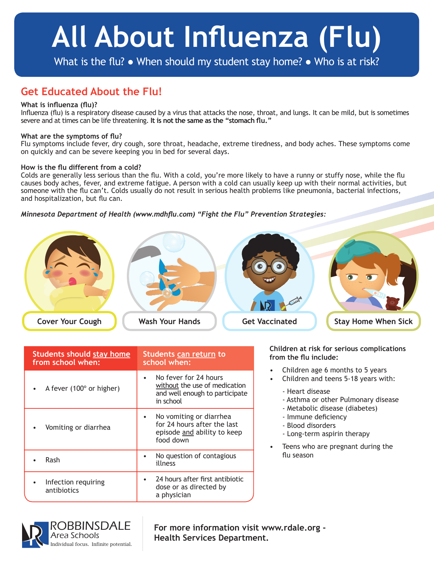# **All About Influenza (Flu)**

What is the flu? • When should my student stay home? • Who is at risk?

### **Get Educated About the Flu!**

#### **What is influenza (flu)?**

Influenza (flu) is a respiratory disease caused by a virus that attacks the nose, throat, and lungs. It can be mild, but is sometimes severe and at times can be life threatening. **It is not the same as the "stomach flu."**

#### **What are the symptoms of flu?**

Flu symptoms include fever, dry cough, sore throat, headache, extreme tiredness, and body aches. These symptoms come on quickly and can be severe keeping you in bed for several days.

#### **How is the flu different from a cold?**

Colds are generally less serious than the flu. With a cold, you're more likely to have a runny or stuffy nose, while the flu causes body aches, fever, and extreme fatigue. A person with a cold can usually keep up with their normal activities, but someone with the flu can't. Colds usually do not result in serious health problems like pneumonia, bacterial infections, and hospitalization, but flu can.

#### *Minnesota Department of Health (www.mdhflu.com) "Fight the Flu" Prevention Strategies:*



| <b>Students should stay home</b><br>from school when: | Students can return to<br>school when:                                                                |  |
|-------------------------------------------------------|-------------------------------------------------------------------------------------------------------|--|
| A fever (100° or higher)                              | No fever for 24 hours<br>without the use of medication<br>and well enough to participate<br>in school |  |
| Vomiting or diarrhea                                  | No vomiting or diarrhea<br>for 24 hours after the last<br>episode and ability to keep<br>food down    |  |
| Rash                                                  | No question of contagious<br>illness                                                                  |  |
| Infection requiring<br>antibiotics                    | 24 hours after first antibiotic<br>dose or as directed by<br>a physician                              |  |

**Children at risk for serious complications from the flu include:**

- Children age 6 months to 5 years
- Children and teens 5-18 years with:
	- Heart disease
	- Asthma or other Pulmonary disease
	- Metabolic disease (diabetes)
	- Immune deficiency
	- Blood disorders
	- Long-term aspirin therapy
- Teens who are pregnant during the flu season



**For more information visit www.rdale.org - Health Services Department.**